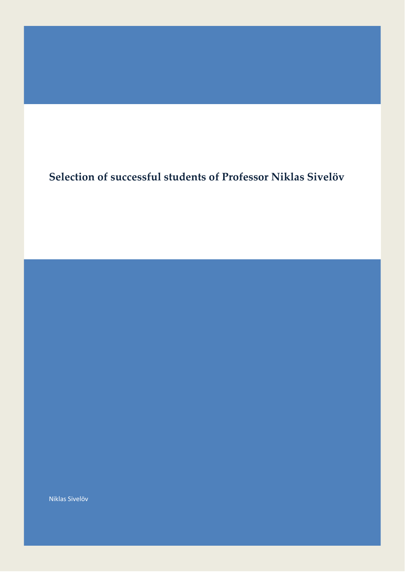## **Selection of successful students of Professor Niklas Sivelöv**

Niklas Sivelöv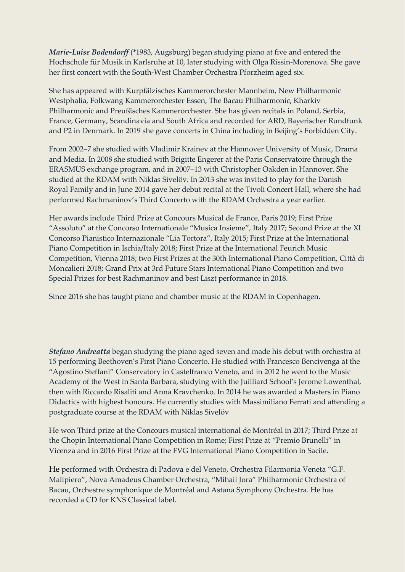*Marie-Luise Bodendorff* (\*1983, Augsburg) began studying piano at five and entered the Hochschule für Musik in Karlsruhe at 10, later studying with Olga Rissin-Morenova. She gave her first concert with the South-West Chamber Orchestra Pforzheim aged six.

She has appeared with Kurpfälzisches Kammerorchester Mannheim, New Philharmonic Westphalia, Folkwang Kammerorchester Essen, The Bacau Philharmonic, Kharkiv Philharmonic and Preußisches Kammerorchester. She has given recitals in Poland, Serbia, France, Germany, Scandinavia and South Africa and recorded for ARD, Bayerischer Rundfunk and P2 in Denmark. In 2019 she gave concerts in China including in Beijing's Forbidden City.

From 2002–7 she studied with Vladimir Krainev at the Hannover University of Music, Drama and Media. In 2008 she studied with Brigitte Engerer at the Paris Conservatoire through the ERASMUS exchange program, and in 2007–13 with Christopher Oakden in Hannover. She studied at the RDAM with Niklas Sivelöv. In 2013 she was invited to play for the Danish Royal Family and in June 2014 gave her debut recital at the Tivoli Concert Hall, where she had performed Rachmaninov's Third Concerto with the RDAM Orchestra a year earlier.

Her awards include Third Prize at Concours Musical de France, Paris 2019; First Prize "Assoluto" at the Concorso Internationale "Musica Insieme", Italy 2017; Second Prize at the XI Concorso Pianistico Internazionale "Lia Tortora", Italy 2015; First Prize at the International Piano Competition in Ischia/Italy 2018; First Prize at the International Feurich Music Competítion, Vienna 2018; two First Prizes at the 30th International Piano Competition, Città di Moncalieri 2018; Grand Prix at 3rd Future Stars International Piano Competition and two Special Prizes for best Rachmaninov and best Liszt performance in 2018.

Since 2016 she has taught piano and chamber music at the RDAM in Copenhagen.

*Stefano Andreatta* began studying the piano aged seven and made his debut with orchestra at 15 performing Beethoven's First Piano Concerto. He studied with Francesco Bencivenga at the "Agostino Steffani" Conservatory in Castelfranco Veneto, and in 2012 he went to the Music Academy of the West in Santa Barbara, studying with the Juilliard School's Jerome Lowenthal, then with Riccardo Risaliti and Anna Kravchenko. In 2014 he was awarded a Masters in Piano Didactics with highest honours. He currently studies with Massimiliano Ferrati and attending a postgraduate course at the RDAM with Niklas Sivelöv

He won Third prize at the Concours musical international de Montréal in 2017; Third Prize at the Chopin International Piano Competition in Rome; First Prize at "Premio Brunelli" in Vicenza and in 2016 First Prize at the FVG International Piano Competition in Sacile.

He performed with Orchestra di Padova e del Veneto, Orchestra Filarmonia Veneta "G.F. Malipiero", Nova Amadeus Chamber Orchestra, "Mihail Jora" Philharmonic Orchestra of Bacau, Orchestre symphonique de Montréal and Astana Symphony Orchestra. He has recorded a CD for KNS Classical label.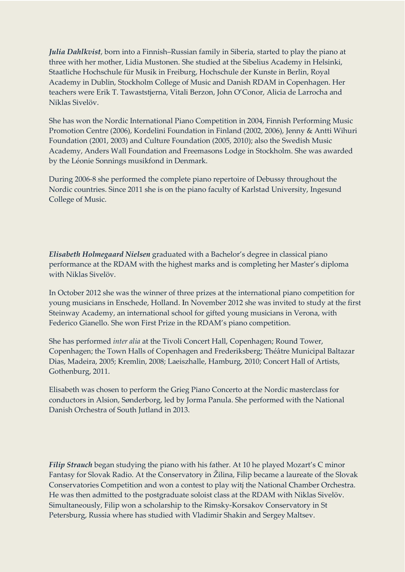*Julia Dahlkvist*, born into a Finnish–Russian family in Siberia, started to play the piano at three with her mother, Lidia Mustonen. She studied at the Sibelius Academy in Helsinki, Staatliche Hochschule für Musik in Freiburg, Hochschule der Kunste in Berlin, Royal Academy in Dublin, Stockholm College of Music and Danish RDAM in Copenhagen. Her teachers were Erik T. Tawaststjerna, Vitali Berzon, John O'Conor, Alicia de Larrocha and Niklas Sivelöv.

She has won the Nordic International Piano Competition in 2004, Finnish Performing Music Promotion Centre (2006), Kordelini Foundation in Finland (2002, 2006), Jenny & Antti Wihuri Foundation (2001, 2003) and Culture Foundation (2005, 2010); also the Swedish Music Academy, Anders Wall Foundation and Freemasons Lodge in Stockholm. She was awarded by the Léonie Sonnings musikfond in Denmark.

During 2006-8 she performed the complete piano repertoire of Debussy throughout the Nordic countries. Since 2011 she is on the piano faculty of Karlstad University, Ingesund College of Music.

*Elisabeth Holmegaard Nielsen* graduated with a Bachelor's degree in classical piano performance at the RDAM with the highest marks and is completing her Master's diploma with Niklas Sivelöv.

In October 2012 she was the winner of three prizes at the international piano competition for young musicians in Enschede, Holland. In November 2012 she was invited to study at the first Steinway Academy, an international school for gifted young musicians in Verona, with Federico Gianello. She won First Prize in the RDAM's piano competition.

She has performed *inter alia* at the Tivoli Concert Hall, Copenhagen; Round Tower, Copenhagen; the Town Halls of Copenhagen and Frederiksberg; Théâtre Municipal Baltazar Dias, Madeira, 2005; Kremlin, 2008; Laeiszhalle, Hamburg, 2010; Concert Hall of Artists, Gothenburg, 2011.

Elisabeth was chosen to perform the Grieg Piano Concerto at the Nordic masterclass for conductors in Alsion, Sønderborg, led by Jorma Panula. She performed with the National Danish Orchestra of South Jutland in 2013.

*Filip Strauch* began studying the piano with his father. At 10 he played Mozart's C minor Fantasy for Slovak Radio. At the Conservatory in Žilina, Filip became a laureate of the Slovak Conservatories Competition and won a contest to play witj the National Chamber Orchestra. He was then admitted to the postgraduate soloist class at the RDAM with Niklas Sivelöv. Simultaneously, Filip won a scholarship to the Rimsky-Korsakov Conservatory in St Petersburg, Russia where has studied with Vladimir Shakin and Sergey Maltsev.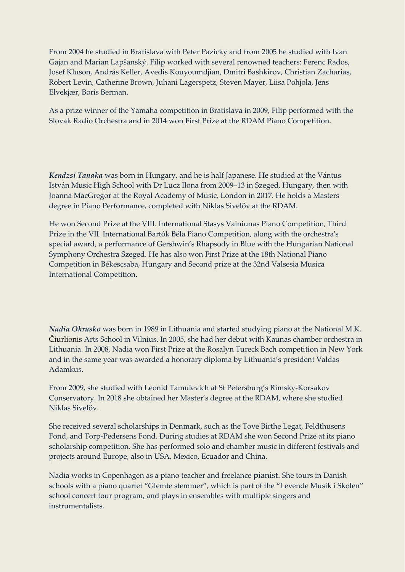From 2004 he studied in Bratislava with Peter Pazicky and from 2005 he studied with Ivan Gajan and Marian Lapšanský. Filip worked with several renowned teachers: Ferenc Rados, Josef Kluson, András Keller, Avedis Kouyoumdjian, Dmitri Bashkirov, Christian Zacharias, Robert Levin, Catherine Brown, Juhani Lagerspetz, Steven Mayer, Liisa Pohjola, Jens Elvekjær, Boris Berman.

As a prize winner of the Yamaha competition in Bratislava in 2009, Filip performed with the Slovak Radio Orchestra and in 2014 won First Prize at the RDAM Piano Competition.

*Kendzsi Tanaka* was born in Hungary, and he is half Japanese. He studied at the Vántus István Music High School with Dr Lucz Ilona from 2009–13 in Szeged, Hungary, then with Joanna MacGregor at the Royal Academy of Music, London in 2017. He holds a Masters degree in Piano Performance, completed with Niklas Sivelöv at the RDAM.

He won Second Prize at the VIII. International Stasys Vainiunas Piano Competition, Third Prize in the VII. International Bartók Béla Piano Competition, along with the orchestra's special award, a performance of Gershwin's Rhapsody in Blue with the Hungarian National Symphony Orchestra Szeged. He has also won First Prize at the 18th National Piano Competition in Békescsaba, Hungary and Second prize at the 32nd Valsesia Musica International Competition.

*Nadia Okrusko* was born in 1989 in Lithuania and started studying piano at the National M.K. Čiurlionis Arts School in Vilnius. In 2005, she had her debut with Kaunas chamber orchestra in Lithuania. In 2008, Nadia won First Prize at the Rosalyn Tureck Bach competition in New York and in the same year was awarded a honorary diploma by Lithuania's president Valdas Adamkus.

From 2009, she studied with Leonid Tamulevich at St Petersburg's Rimsky-Korsakov Conservatory. In 2018 she obtained her Master's degree at the RDAM, where she studied Niklas Sivelöv.

She received several scholarships in Denmark, such as the Tove Birthe Legat, Feldthusens Fond, and Torp-Pedersens Fond. During studies at RDAM she won Second Prize at its piano scholarship competition. She has performed solo and chamber music in different festivals and projects around Europe, also in USA, Mexico, Ecuador and China.

Nadia works in Copenhagen as a piano teacher and freelance pianist. She tours in Danish schools with a piano quartet "Glemte stemmer", which is part of the "Levende Musik i Skolen" school concert tour program, and plays in ensembles with multiple singers and instrumentalists.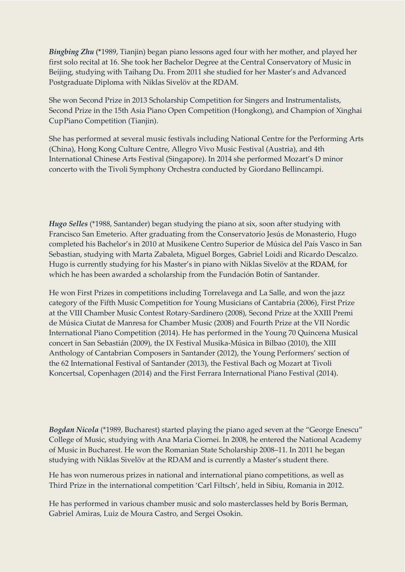*Bingbing Zhu* (\*1989, Tianjin) began piano lessons aged four with her mother, and played her first solo recital at 16. She took her Bachelor Degree at the Central Conservatory of Music in Beijing, studying with Taihang Du. From 2011 she studied for her Master's and Advanced Postgraduate Diploma with Niklas Sivelöv at the RDAM.

She won Second Prize in 2013 Scholarship Competition for Singers and Instrumentalists, Second Prize in the 15th Asia Piano Open Competition (Hongkong), and Champion of Xinghai CupPiano Competition (Tianjin).

She has performed at several music festivals including National Centre for the Performing Arts (China), Hong Kong Culture Centre, Allegro Vivo Music Festival (Austria), and 4th International Chinese Arts Festival (Singapore). In 2014 she performed Mozart's D minor concerto with the Tivoli Symphony Orchestra conducted by Giordano Bellincampi.

*Hugo Selles* (\*1988, Santander) began studying the piano at six, soon after studying with Francisco San Emeterio. After graduating from the [Conservatorio Jesús de Monasterio, H](http://www.conservatoriojesusdemonasterio.es/)ugo completed his Bachelor's in 2010 at [Musikene Centro Superior de Música del País Vasco i](http://musikene.net/)n San Sebastian, studying with Marta Zabaleta, Miguel Borges, Gabriel Loidi and Ricardo Descalzo. Hugo is currently studying for his Master's in piano with Niklas Sivelöv at the RDAM, for which he has been awarded a scholarship from the Fundación Botín of Santander.

He won First Prizes in competitions including Torrelavega and La Salle, and won the jazz category of the Fifth Music Competition for Young Musicians of Cantabria (2006), First Prize at the VIII Chamber Music Contest Rotary-Sardinero (2008), Second Prize at the XXIII Premi de Música Ciutat de Manresa for Chamber Music (2008) and Fourth Prize at the VII Nordic International Piano Competition (2014). He has performed in the Young 70 Quincena Musical concert in San Sebastián (2009), the IX Festival Musika-Música in Bilbao (2010), th[e XIII](https://soundcloud.com/hugoselles/sets/compositorescantabria)  [Anthology of Cantabrian Composers i](https://soundcloud.com/hugoselles/sets/compositorescantabria)n Santander (2012), the Young Performers' section of the 62 International Festival of Santander (2013), the Festival Bach og Mozart at Tivoli Koncertsal, Copenhagen (2014) and the First Ferrara International Piano Festival (2014).

*Bogdan Nicola* (\*1989, Bucharest) started playing the piano aged seven at the "George Enescu" College of Music, studying with Ana Maria Ciornei. In 2008, he entered the National Academy of Music in Bucharest. He won the Romanian State Scholarship 2008–11. In 2011 he began studying with Niklas Sivelöv at the RDAM and is currently a Master's student there.

He has won numerous prizes in national and international piano competitions, as well as Third Prize in the international competition 'Carl Filtsch', held in Sibiu, Romania in 2012.

He has performed in various chamber music and solo masterclasses held by Boris Berman, Gabriel Amiras, Luiz de Moura Castro, and Sergei Osokin.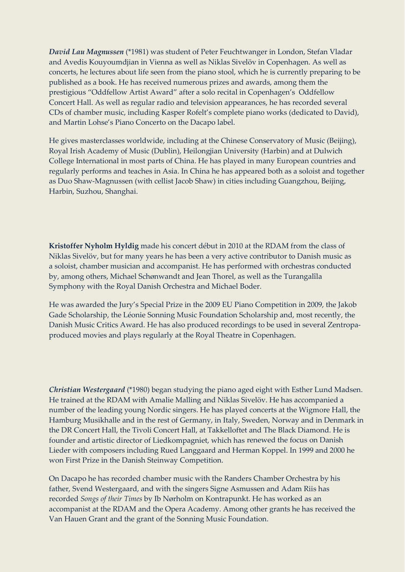*David Lau Magnussen* (\*1981) was student of Peter Feuchtwanger in London, Stefan Vladar and Avedis Kouyoumdjian in Vienna as well as Niklas Sivelöv in Copenhagen. As well as concerts, he lectures about life seen from the piano stool, which he is currently preparing to be published as a book. He has received numerous prizes and awards, among them the prestigious "Oddfellow Artist Award" after a solo recital in Copenhagen's Oddfellow Concert Hall. As well as regular radio and television appearances, he has recorded several CDs of chamber music, including Kasper Rofelt's complete piano works (dedicated to David), and Martin Lohse's Piano Concerto on the Dacapo label.

He gives masterclasses worldwide, including at the Chinese Conservatory of Music (Beijing), Royal Irish Academy of Music (Dublin), Heilongjian University (Harbin) and at Dulwich College International in most parts of China. He has played in many European countries and regularly performs and teaches in Asia. In China he has appeared both as a soloist and together as Duo Shaw-Magnussen (with cellist Jacob Shaw) in cities including Guangzhou, Beijing, Harbin, Suzhou, Shanghai.

**Kristoffer Nyholm Hyldig** made his concert début in 2010 at the RDAM from the class of Niklas Sivelöv, but for many years he has been a very active contributor to Danish music as a soloist, chamber musician and accompanist. He has performed with orchestras conducted by, among others, Michael Schønwandt and Jean Thorel, as well as the Turangalîla Symphony with the Royal Danish Orchestra and Michael Boder.

He was awarded the Jury's Special Prize in the 2009 EU Piano Competition in 2009, the Jakob Gade Scholarship, the Léonie Sonning Music Foundation Scholarship and, most recently, the Danish Music Critics Award. He has also produced recordings to be used in several Zentropaproduced movies and plays regularly at the Royal Theatre in Copenhagen.

*Christian Westergaard* (\*1980) began studying the piano aged eight with Esther Lund Madsen. He trained at the RDAM with Amalie Malling and Niklas Sivelöv. He has accompanied a number of the leading young Nordic singers. He has played concerts at the Wigmore Hall, the Hamburg Musikhalle and in the rest of Germany, in Italy, Sweden, Norway and in Denmark in the DR Concert Hall, the Tivoli Concert Hall, at Takkelloftet and The Black Diamond. He is founder and artistic director of Liedkompagniet, which has renewed the focus on Danish Lieder with composers including Rued Langgaard and Herman Koppel. In 1999 and 2000 he won First Prize in the Danish Steinway Competition.

On Dacapo he has recorded chamber music with the Randers Chamber Orchestra by his father, Svend Westergaard, and with the singers Signe Asmussen and Adam Riis has recorded *Songs of their Times* by Ib Nørholm on Kontrapunkt. He has worked as an accompanist at the RDAM and the Opera Academy. Among other grants he has received the Van Hauen Grant and the grant of the Sonning Music Foundation.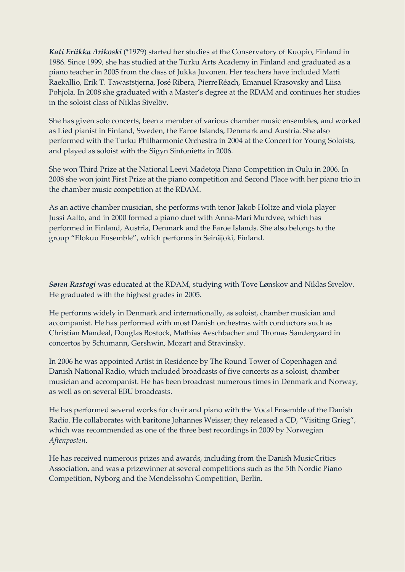*Kati Eriikka Arikoski* (\*1979) started her studies at the Conservatory of Kuopio, Finland in 1986. Since 1999, she has studied at the Turku Arts Academy in Finland and graduated as a piano teacher in 2005 from the class of Jukka Juvonen. Her teachers have included Matti Raekallio, Erik T. Tawaststjerna, José Ribera, PierreRéach, Emanuel Krasovsky and Liisa Pohjola. In 2008 she graduated with a Master's degree at the RDAM and continues her studies in the soloist class of Niklas Sivelöv.

She has given solo concerts, been a member of various chamber music ensembles, and worked as Lied pianist in Finland, Sweden, the Faroe Islands, Denmark and Austria. She also performed with the Turku Philharmonic Orchestra in 2004 at the Concert for Young Soloists, and played as soloist with the Sigyn Sinfonietta in 2006.

She won Third Prize at the National Leevi Madetoja Piano Competition in Oulu in 2006. In 2008 she won joint First Prize at the piano competition and Second Place with her piano trio in the chamber music competition at the RDAM.

As an active chamber musician, she performs with tenor Jakob Holtze and viola player Jussi Aalto, and in 2000 formed a piano duet with Anna-Mari Murdvee, which has performed in Finland, Austria, Denmark and the Faroe Islands. She also belongs to the group "Elokuu Ensemble", which performs in Seinäjoki, Finland.

*Søren Rastogi* was educated at the RDAM, studying with Tove Lønskov and Niklas Sivelöv. He graduated with the highest grades in 2005.

He performs widely in Denmark and internationally, as soloist, chamber musician and accompanist. He has performed with most Danish orchestras with conductors such as Christian Mandeál, Douglas Bostock, Mathias Aeschbacher and Thomas Søndergaard in concertos by Schumann, Gershwin, Mozart and Stravinsky.

In 2006 he was appointed Artist in Residence by The Round Tower of Copenhagen and Danish National Radio, which included broadcasts of five concerts as a soloist, chamber musician and accompanist. He has been broadcast numerous times in Denmark and Norway, as well as on several EBU broadcasts.

He has performed several works for choir and piano with the Vocal Ensemble of the Danish Radio. He collaborates with baritone Johannes Weisser; they released a CD, "Visiting Grieg", which was recommended as one of the three best recordings in 2009 by Norwegian *Aftenposten*.

He has received numerous prizes and awards, including from the Danish MusicCritics Association, and was a prizewinner at several competitions such as the 5th Nordic Piano Competition, Nyborg and the Mendelssohn Competition, Berlin.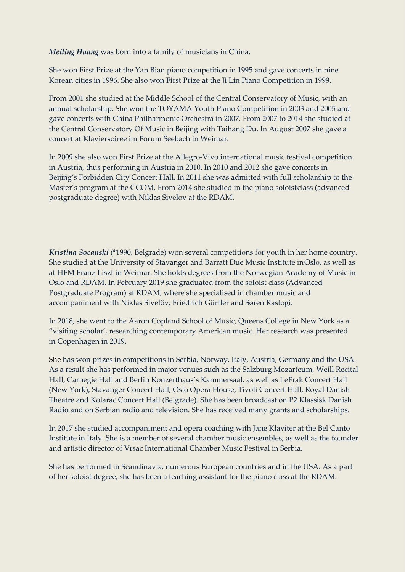*Meiling Huang* was born into a family of musicians in China.

She won First Prize at the Yan Bian piano competition in 1995 and gave concerts in nine Korean cities in 1996. She also won First Prize at the Ji Lin Piano Competition in 1999.

From 2001 she studied at the Middle School of the Central Conservatory of Music, with an annual scholarship. She won the TOYAMA Youth Piano Competition in 2003 and 2005 and gave concerts with China Philharmonic Orchestra in 2007. From 2007 to 2014 she studied at the Central Conservatory Of Music in Beijing with Taihang Du. In August 2007 she gave a concert at Klaviersoiree im Forum Seebach in Weimar.

In 2009 she also won First Prize at the Allegro-Vivo international music festival competition in Austria, thus performing in Austria in 2010. In 2010 and 2012 she gave concerts in Beijing's Forbidden City Concert Hall. In 2011 she was admitted with full scholarship to the Master's program at the CCOM. From 2014 she studied in the piano soloistclass (advanced postgraduate degree) with Niklas Sivelov at the RDAM.

*Kristina Socanski* (\*1990, Belgrade) won several competitions for youth in her home country. She studied at the University of Stavanger and Barratt Due Music Institute inOslo, as well as at HFM Franz Liszt in Weimar. She holds degrees from the Norwegian Academy of Music in Oslo and RDAM. In February 2019 she graduated from the soloist class (Advanced Postgraduate Program) at RDAM, where she specialised in chamber music and accompaniment with Niklas Sivelöv, Friedrich Gürtler and Søren Rastogi.

In 2018, she went to the Aaron Copland School of Music, Queens College in New York as a "visiting scholar', researching contemporary American music. Her research was presented in Copenhagen in 2019.

She has won prizes in competitions in Serbia, Norway, Italy, Austria, Germany and the USA. As a result she has performed in major venues such as the Salzburg Mozarteum, Weill Recital Hall, Carnegie Hall and Berlin Konzerthaus's Kammersaal, as well as LeFrak Concert Hall (New York), Stavanger Concert Hall, Oslo Opera House, Tivoli Concert Hall, Royal Danish Theatre and Kolarac Concert Hall (Belgrade). She has been broadcast on P2 Klassisk Danish Radio and on Serbian radio and television. She has received many grants and scholarships.

In 2017 she studied accompaniment and opera coaching with Jane Klaviter at the Bel Canto Institute in Italy. She is a member of several chamber music ensembles, as well as the founder and artistic director of Vrsac International Chamber Music Festival in Serbia.

She has performed in Scandinavia, numerous European countries and in the USA. As a part of her soloist degree, she has been a teaching assistant for the piano class at the RDAM.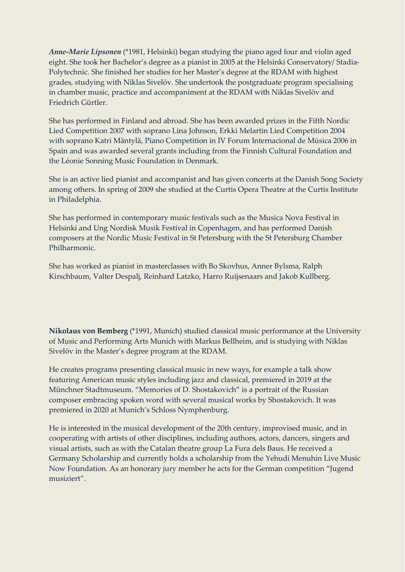*Anne-Marie Lipsonen* (\*1981, Helsinki) began studying the piano aged four and violin aged eight. She took her Bachelor's degree as a pianist in 2005 at the Helsinki Conservatory/ Stadia-Polytechnic. She finished her studies for her Master's degree at the RDAM with highest grades, studying with Niklas Sivelöv. She undertook the postgraduate program specialising in chamber music, practice and accompaniment at the RDAM with Niklas Sivelöv and Friedrich Gürtler.

She has performed in Finland and abroad. She has been awarded prizes in the Fifth Nordic Lied Competition 2007 with soprano Lina Johnson, Erkki Melartin Lied Competition 2004 with soprano Katri Mäntylä, Piano Competition in IV Forum Internacional de Música 2006 in Spain and was awarded several grants including from the Finnish Cultural Foundation and the Léonie Sonning Music Foundation in Denmark.

She is an active lied pianist and accompanist and has given concerts at the Danish Song Society among others. In spring of 2009 she studied at the Curtis Opera Theatre at the Curtis Institute in Philadelphia.

She has performed in contemporary music festivals such as the Musica Nova Festival in Helsinki and Ung Nordisk Musik Festival in Copenhagen, and has performed Danish composers at the Nordic Music Festival in St Petersburg with the St Petersburg Chamber Philharmonic.

She has worked as pianist in masterclasses with Bo Skovhus, Anner Bylsma, Ralph Kirschbaum, Valter Despalj, Reinhard Latzko, Harro Ruijsenaars and Jakob Kullberg.

**Nikolaus von Bemberg** (\*1991, Munich) studied classical music performance at the University of Music and Performing Arts Munich with Markus Bellheim, and is studying with Niklas Sivelöv in the Master's degree program at the RDAM.

He creates programs presenting classical music in new ways, for example a talk show featuring American music styles including jazz and classical, premiered in 2019 at the Münchner Stadtmuseum. "Memories of D. Shostakovich" is a portrait of the Russian composer embracing spoken word with several musical works by Shostakovich. It was premiered in 2020 at Munich's Schloss Nymphenburg.

He is interested in the musical development of the 20th century, improvised music, and in cooperating with artists of other disciplines, including authors, actors, dancers, singers and visual artists, such as with the Catalan theatre group La Fura dels Baus. He received a Germany Scholarship and currently holds a scholarship from the Yehudi Menuhin Live Music Now Foundation. As an honorary jury member he acts for the German competition "Jugend musiziert".